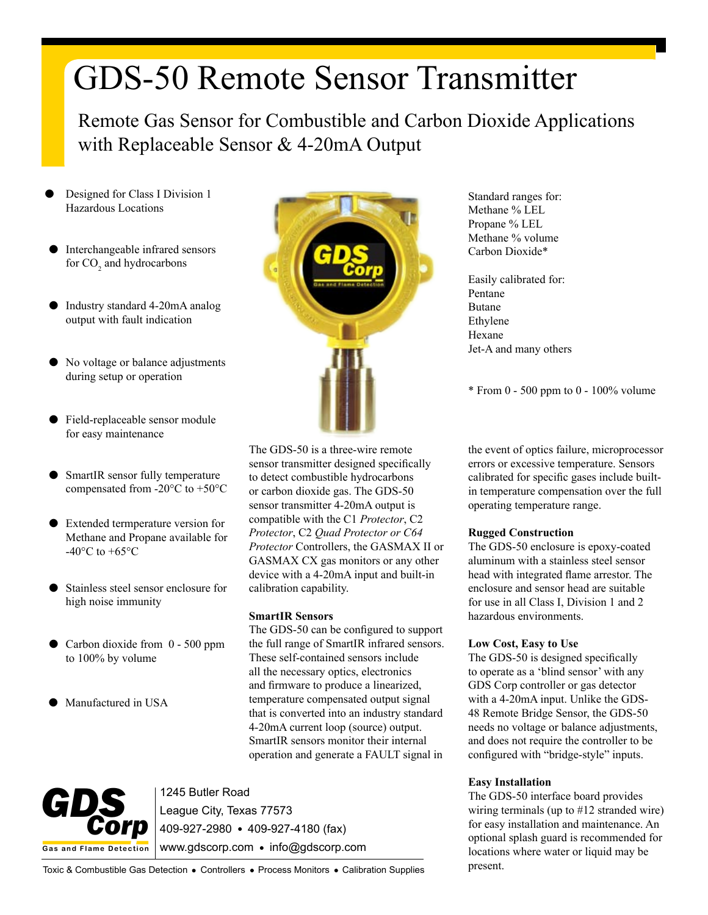# GDS-50 Remote Sensor Transmitter

Remote Gas Sensor for Combustible and Carbon Dioxide Applications with Replaceable Sensor & 4-20mA Output

- Designed for Class I Division 1 Hazardous Locations
- Interchangeable infrared sensors for  $CO<sub>2</sub>$  and hydrocarbons
- Industry standard 4-20mA analog output with fault indication
- No voltage or balance adjustments during setup or operation
- Field-replaceable sensor module for easy maintenance
- SmartIR sensor fully temperature compensated from -20°C to +50°C
- Extended termperature version for Methane and Propane available for -40 $^{\circ}$ C to +65 $^{\circ}$ C
- Stainless steel sensor enclosure for high noise immunity
- Carbon dioxide from  $0 500$  ppm to 100% by volume
- Manufactured in USA



The GDS-50 is a three-wire remote sensor transmitter designed specifically to detect combustible hydrocarbons or carbon dioxide gas. The GDS-50 sensor transmitter 4-20mA output is compatible with the C1 *Protector*, C2 *Protector*, C2 *Quad Protector or C64 Protector* Controllers, the GASMAX II or GASMAX CX gas monitors or any other device with a 4-20mA input and built-in calibration capability.

### **SmartIR Sensors**

The GDS-50 can be configured to support the full range of SmartIR infrared sensors. These self-contained sensors include all the necessary optics, electronics and firmware to produce a linearized, temperature compensated output signal that is converted into an industry standard 4-20mA current loop (source) output. SmartIR sensors monitor their internal operation and generate a FAULT signal in



1245 Butler Road

League City, Texas 77573 409-927-2980 409-927-4180 (fax) www.gdscorp.com · info@gdscorp.com

Standard ranges for: Methane % LEL Propane % LEL Methane % volume Carbon Dioxide\*

Easily calibrated for: Pentane Butane Ethylene Hexane Jet-A and many others

\* From 0 - 500 ppm to 0 - 100% volume

the event of optics failure, microprocessor errors or excessive temperature. Sensors calibrated for specific gases include builtin temperature compensation over the full operating temperature range.

## **Rugged Construction**

The GDS-50 enclosure is epoxy-coated aluminum with a stainless steel sensor head with integrated flame arrestor. The enclosure and sensor head are suitable for use in all Class I, Division 1 and 2 hazardous environments.

## **Low Cost, Easy to Use**

The GDS-50 is designed specifically to operate as a 'blind sensor' with any GDS Corp controller or gas detector with a 4-20mA input. Unlike the GDS-48 Remote Bridge Sensor, the GDS-50 needs no voltage or balance adjustments, and does not require the controller to be configured with "bridge-style" inputs.

## **Easy Installation**

The GDS-50 interface board provides wiring terminals (up to #12 stranded wire) for easy installation and maintenance. An optional splash guard is recommended for locations where water or liquid may be present.

Toxic & Combustible Gas Detection . Controllers . Process Monitors . Calibration Supplies